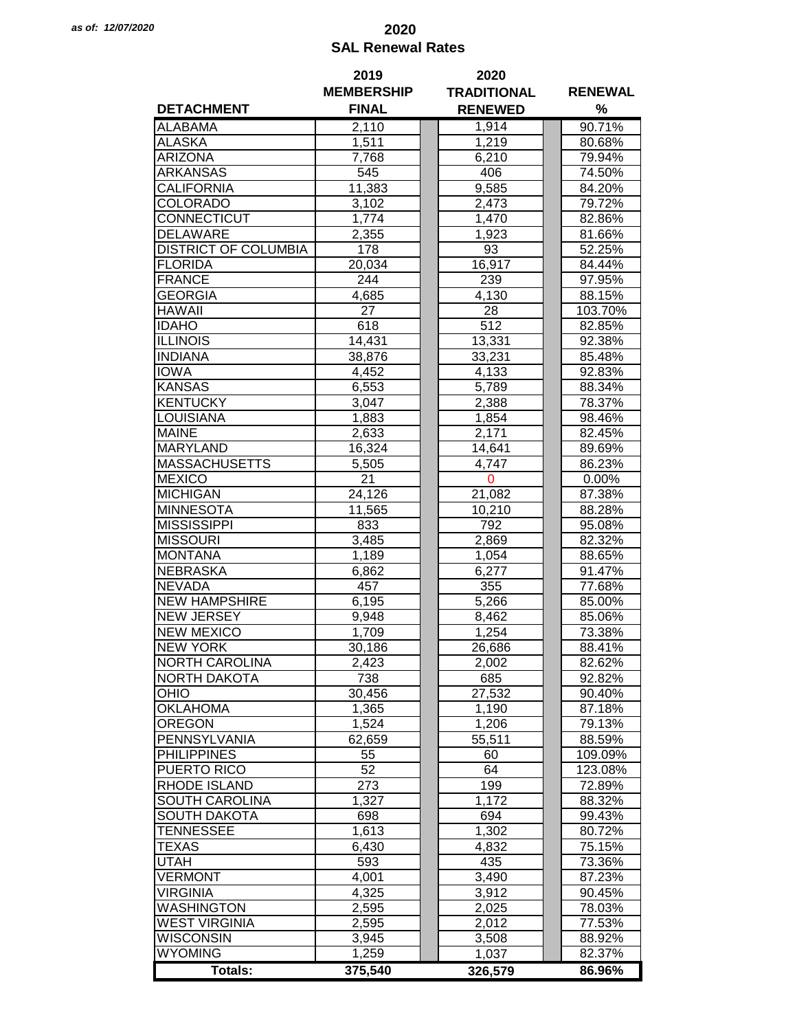## *as of: 12/07/2020* **2020 SAL Renewal Rates**

|                             | 2019              | 2020               |                |  |  |
|-----------------------------|-------------------|--------------------|----------------|--|--|
|                             | <b>MEMBERSHIP</b> | <b>TRADITIONAL</b> | <b>RENEWAL</b> |  |  |
| <b>DETACHMENT</b>           | <b>FINAL</b>      | <b>RENEWED</b>     | %              |  |  |
| <b>ALABAMA</b>              | 2,110             | 1,914              | 90.71%         |  |  |
| <b>ALASKA</b>               | 1,511             | 1,219              | 80.68%         |  |  |
| <b>ARIZONA</b>              | 7,768             | 6,210              | 79.94%         |  |  |
| ARKANSAS                    | 545               | 406                | 74.50%         |  |  |
| CALIFORNIA                  | 11,383            | 9,585              | 84.20%         |  |  |
| COLORADO                    | 3,102             | 2,473              | 79.72%         |  |  |
| CONNECTICUT                 | 1,774             | 1,470              | 82.86%         |  |  |
| <b>DELAWARE</b>             | 2,355             | 1,923              | 81.66%         |  |  |
| <b>DISTRICT OF COLUMBIA</b> | 178               | 93                 | 52.25%         |  |  |
| <b>FLORIDA</b>              |                   | 16,917             | 84.44%         |  |  |
|                             | 20,034            |                    |                |  |  |
| <b>FRANCE</b>               | 244               | 239                | 97.95%         |  |  |
| <b>GEORGIA</b>              | 4,685             | 4,130              | 88.15%         |  |  |
| <b>HAWAII</b>               | 27                | 28                 | 103.70%        |  |  |
| <b>IDAHO</b>                | 618               | $\overline{512}$   | 82.85%         |  |  |
| <b>ILLINOIS</b>             | 14,431            | 13,331             | 92.38%         |  |  |
| <b>INDIANA</b>              | 38,876            | 33,231             | 85.48%         |  |  |
| <b>IOWA</b>                 | 4,452             | 4,133              | 92.83%         |  |  |
| <b>KANSAS</b>               | 6,553             | 5,789              | 88.34%         |  |  |
| <b>KENTUCKY</b>             | 3,047             | 2,388              | 78.37%         |  |  |
| <b>LOUISIANA</b>            | 1,883             | 1,854              | 98.46%         |  |  |
| <b>MAINE</b>                | 2,633             | 2,171              | 82.45%         |  |  |
| <b>MARYLAND</b>             | 16,324            | 14,641             | 89.69%         |  |  |
| <b>MASSACHUSETTS</b>        | 5,505             | 4,747              | 86.23%         |  |  |
| <b>MEXICO</b>               | 21                | $\mathbf 0$        | 0.00%          |  |  |
| <b>MICHIGAN</b>             | 24,126            | 21,082             | 87.38%         |  |  |
| <b>MINNESOTA</b>            | 11,565            | 10,210             | 88.28%         |  |  |
| <b>MISSISSIPPI</b>          | 833               | 792                | 95.08%         |  |  |
| <b>MISSOURI</b>             | 3,485             | 2,869              | 82.32%         |  |  |
| <b>MONTANA</b>              | 1,189             | 1,054              | 88.65%         |  |  |
| <b>NEBRASKA</b>             | 6,862             | 6,277              | 91.47%         |  |  |
| <b>NEVADA</b>               | 457               | 355                | 77.68%         |  |  |
| <b>NEW HAMPSHIRE</b>        | 6,195             | 5,266              | 85.00%         |  |  |
| <b>NEW JERSEY</b>           | 9,948             | 8,462              | 85.06%         |  |  |
| <b>NEW MEXICO</b>           | 1,709             | 1,254              | 73.38%         |  |  |
| <b>NEW YORK</b>             | 30,186            | 26,686             | 88.41%         |  |  |
| <b>NORTH CAROLINA</b>       | 2,423             | 2,002              | 82.62%         |  |  |
| <b>NORTH DAKOTA</b>         | 738               | 685                | 92.82%         |  |  |
| OHIO                        | 30,456            | 27,532             | 90.40%         |  |  |
| <b>OKLAHOMA</b>             | 1,365             | 1,190              | 87.18%         |  |  |
| <b>OREGON</b>               | 1,524             | 1,206              | 79.13%         |  |  |
| PENNSYLVANIA                |                   |                    |                |  |  |
|                             | 62,659            | 55,511             | 88.59%         |  |  |
| <b>PHILIPPINES</b>          | 55                | 60                 | 109.09%        |  |  |
| PUERTO RICO                 | 52                | 64                 | 123.08%        |  |  |
| <b>RHODE ISLAND</b>         | 273               | 199                | 72.89%         |  |  |
| SOUTH CAROLINA              | 1,327             | 1,172              | 88.32%         |  |  |
| <b>SOUTH DAKOTA</b>         | 698               | 694                | 99.43%         |  |  |
| <b>TENNESSEE</b>            | 1,613             | 1,302              | 80.72%         |  |  |
| TEXAS                       | 6,430             | 4,832              | 75.15%         |  |  |
| <b>UTAH</b>                 | 593               | 435                | 73.36%         |  |  |
| <b>VERMONT</b>              | 4,001             | 3,490              | 87.23%         |  |  |
| <b>VIRGINIA</b>             | 4,325             | 3,912              | 90.45%         |  |  |
| <b>WASHINGTON</b>           | 2,595             | 2,025              | 78.03%         |  |  |
| <b>WEST VIRGINIA</b>        | 2,595             | 2,012              | 77.53%         |  |  |
| <b>WISCONSIN</b>            | 3,945             | 3,508              | 88.92%         |  |  |
| <b>WYOMING</b>              | 1,259             | 1,037              | 82.37%         |  |  |
| <b>Totals:</b>              | 375,540           | 326,579            | 86.96%         |  |  |